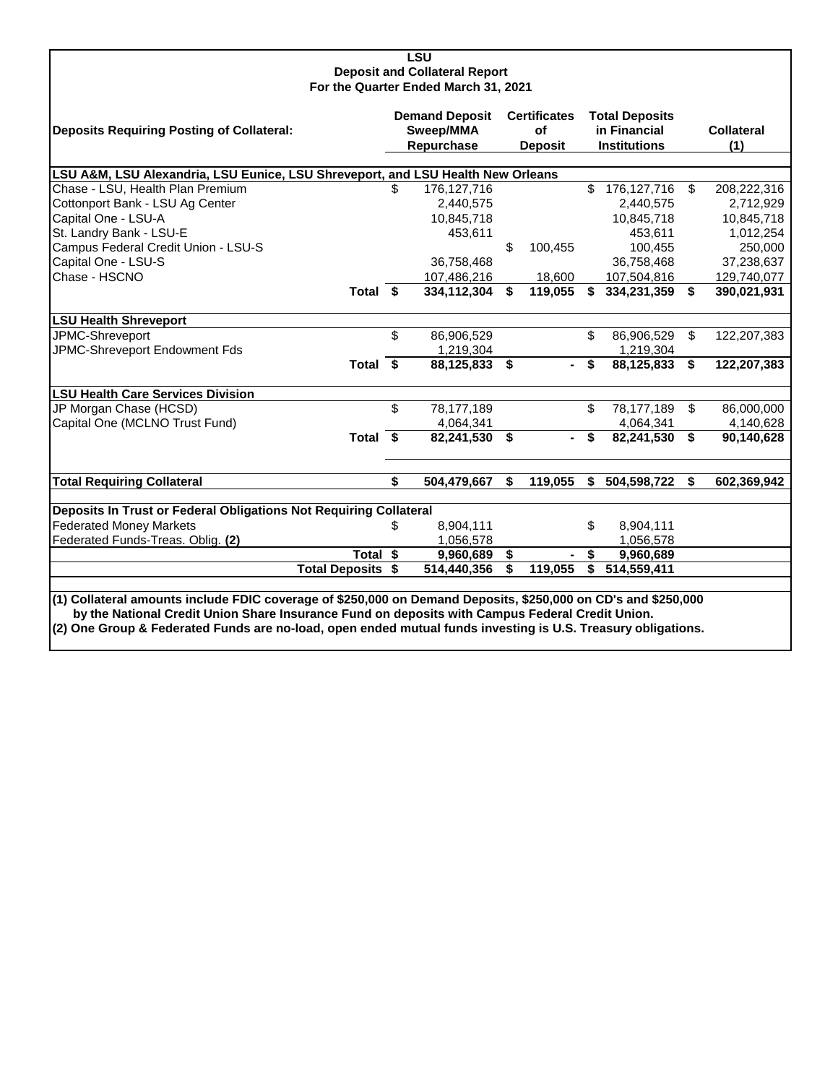| <b>LSU</b>                                                                                                    |            |               |    |                |    |                     |                |                   |  |  |  |
|---------------------------------------------------------------------------------------------------------------|------------|---------------|----|----------------|----|---------------------|----------------|-------------------|--|--|--|
| <b>Deposit and Collateral Report</b>                                                                          |            |               |    |                |    |                     |                |                   |  |  |  |
| For the Quarter Ended March 31, 2021                                                                          |            |               |    |                |    |                     |                |                   |  |  |  |
| <b>Demand Deposit</b><br><b>Certificates</b><br><b>Total Deposits</b>                                         |            |               |    |                |    |                     |                |                   |  |  |  |
| <b>Deposits Requiring Posting of Collateral:</b>                                                              |            | Sweep/MMA     |    | οf             |    | in Financial        |                | <b>Collateral</b> |  |  |  |
|                                                                                                               | Repurchase |               |    | <b>Deposit</b> |    | <b>Institutions</b> |                | (1)               |  |  |  |
|                                                                                                               |            |               |    |                |    |                     |                |                   |  |  |  |
| LSU A&M, LSU Alexandria, LSU Eunice, LSU Shreveport, and LSU Health New Orleans                               |            |               |    |                |    |                     |                |                   |  |  |  |
| Chase - LSU, Health Plan Premium                                                                              | \$         | 176, 127, 716 |    |                | \$ | 176, 127, 716       | \$             | 208,222,316       |  |  |  |
| Cottonport Bank - LSU Ag Center                                                                               |            | 2,440,575     |    |                |    | 2,440,575           |                | 2,712,929         |  |  |  |
| Capital One - LSU-A                                                                                           |            | 10,845,718    |    |                |    | 10,845,718          |                | 10,845,718        |  |  |  |
| St. Landry Bank - LSU-E                                                                                       |            | 453,611       |    |                |    | 453,611             |                | 1,012,254         |  |  |  |
| Campus Federal Credit Union - LSU-S                                                                           |            |               | \$ | 100,455        |    | 100,455             |                | 250,000           |  |  |  |
| Capital One - LSU-S                                                                                           |            | 36,758,468    |    |                |    | 36,758,468          |                | 37,238,637        |  |  |  |
| Chase - HSCNO                                                                                                 |            | 107,486,216   |    | 18,600         |    | 107,504,816         |                | 129,740,077       |  |  |  |
| Total \$                                                                                                      |            | 334,112,304   | \$ | 119,055        | \$ | 334,231,359         | \$             | 390,021,931       |  |  |  |
|                                                                                                               |            |               |    |                |    |                     |                |                   |  |  |  |
| <b>LSU Health Shreveport</b>                                                                                  |            |               |    |                |    |                     |                |                   |  |  |  |
| JPMC-Shreveport                                                                                               | \$         | 86,906,529    |    |                | \$ | 86,906,529          | \$             | 122,207,383       |  |  |  |
| JPMC-Shreveport Endowment Fds                                                                                 |            | 1,219,304     |    |                |    | 1,219,304           |                |                   |  |  |  |
| Total \$                                                                                                      |            | 88,125,833    | \$ |                | \$ | 88,125,833          | \$             | 122,207,383       |  |  |  |
| <b>LSU Health Care Services Division</b>                                                                      |            |               |    |                |    |                     |                |                   |  |  |  |
| JP Morgan Chase (HCSD)                                                                                        | \$         | 78,177,189    |    |                | \$ | 78,177,189          | $\mathfrak{L}$ | 86,000,000        |  |  |  |
| Capital One (MCLNO Trust Fund)                                                                                |            | 4,064,341     |    |                |    | 4,064,341           |                | 4,140,628         |  |  |  |
| Total \$                                                                                                      |            | 82,241,530    | \$ |                | \$ | 82,241,530          | \$             | 90,140,628        |  |  |  |
|                                                                                                               |            |               |    |                |    |                     |                |                   |  |  |  |
|                                                                                                               |            |               |    |                |    |                     |                |                   |  |  |  |
| <b>Total Requiring Collateral</b>                                                                             | \$         | 504,479,667   | \$ | 119,055        | \$ | 504,598,722         | \$             | 602,369,942       |  |  |  |
| Deposits In Trust or Federal Obligations Not Requiring Collateral                                             |            |               |    |                |    |                     |                |                   |  |  |  |
| <b>Federated Money Markets</b>                                                                                | \$         | 8,904,111     |    |                | \$ | 8,904,111           |                |                   |  |  |  |
| Federated Funds-Treas. Oblig. (2)                                                                             |            | 1,056,578     |    |                |    | 1,056,578           |                |                   |  |  |  |
| Total \$                                                                                                      |            | 9,960,689     | \$ |                | \$ | 9,960,689           |                |                   |  |  |  |
| <b>Total Deposits \$</b>                                                                                      |            | 514,440,356   | \$ | 119,055        | \$ | 514,559,411         |                |                   |  |  |  |
|                                                                                                               |            |               |    |                |    |                     |                |                   |  |  |  |
| (1) Collateral amounts include FDIC coverage of \$250,000 on Demand Deposits, \$250,000 on CD's and \$250,000 |            |               |    |                |    |                     |                |                   |  |  |  |
| by the National Credit Union Share Insurance Fund on deposits with Campus Federal Credit Union.               |            |               |    |                |    |                     |                |                   |  |  |  |
| (2) One Group & Federated Funds are no-load, open ended mutual funds investing is U.S. Treasury obligations.  |            |               |    |                |    |                     |                |                   |  |  |  |
|                                                                                                               |            |               |    |                |    |                     |                |                   |  |  |  |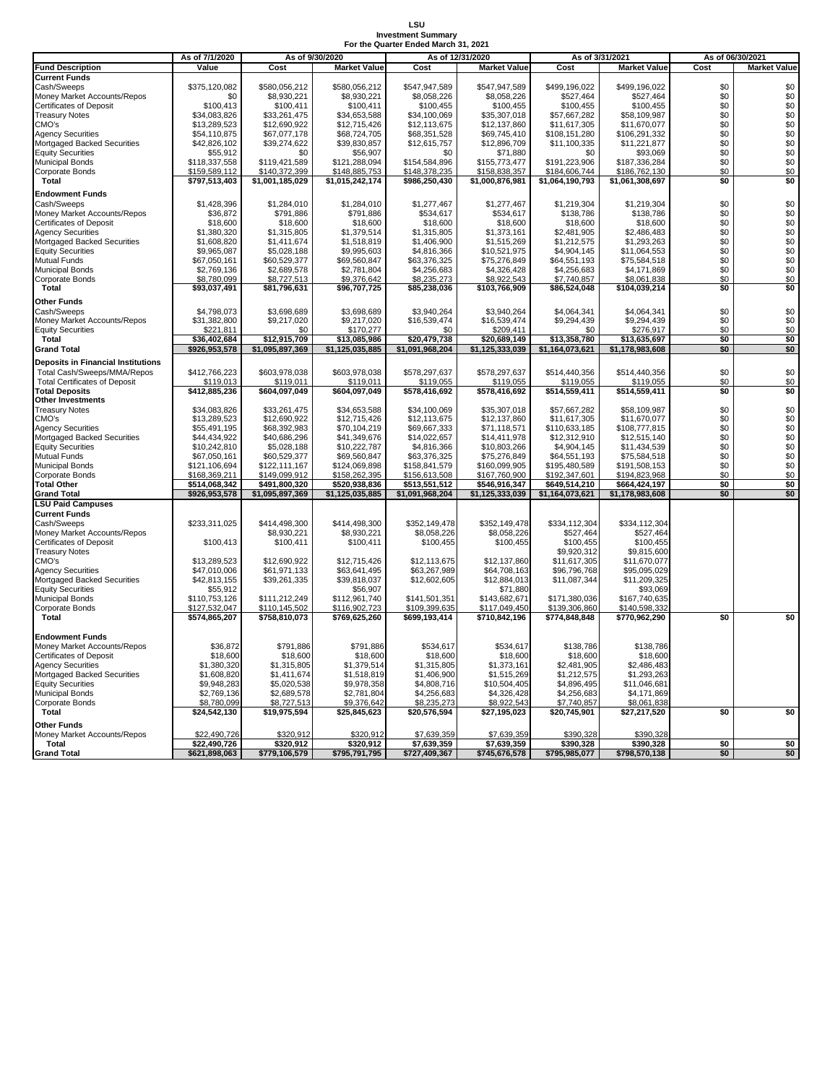## **LSU Investment Summary For the Quarter Ended March 31, 2021**

|                                           | As of 7/1/2020               |                        | As of 9/30/2020        | As of 12/31/2020           |                            |                        | As of 3/31/2021        | As of 06/30/2021 |                     |
|-------------------------------------------|------------------------------|------------------------|------------------------|----------------------------|----------------------------|------------------------|------------------------|------------------|---------------------|
| <b>Fund Description</b>                   | Value                        | Cost                   | <b>Market Value</b>    | Cost                       | <b>Market Value</b>        | Cost                   | <b>Market Value</b>    | Cost             | <b>Market Value</b> |
| <b>Current Funds</b>                      |                              |                        |                        |                            |                            |                        |                        |                  |                     |
| Cash/Sweeps                               | \$375,120,082                | \$580,056,212          | \$580,056,212          | \$547,947,589              | \$547,947,589              | \$499,196,022          | \$499,196,022          | \$0              | \$0                 |
| Money Market Accounts/Repos               | \$0                          | \$8,930,221            | \$8,930,221            | \$8,058,226                | \$8,058,226                | \$527,464              | \$527,464              | \$0              | \$0                 |
| Certificates of Deposit                   | \$100,413                    | \$100,411              | \$100,411              | \$100,455                  | \$100,455                  | \$100,455              | \$100,455              | \$0              |                     |
| <b>Treasury Notes</b>                     | \$34,083,826                 | \$33,261,475           | \$34,653,588           | \$34,100,069               | \$35,307,018               | \$57,667,282           | \$58,109,987           | \$0              | $$0$<br>$$0$        |
| CMO's                                     | \$13,289,523                 | \$12,690,922           | \$12,715,426           | \$12,113,675               | \$12,137,860               | \$11,617,305           | \$11,670,077           | \$0              | \$0                 |
| <b>Agency Securities</b>                  | \$54,110,875                 | \$67,077,178           | \$68,724,705           | \$68,351,528               | \$69,745,410               | \$108,151,280          | \$106,291,332          | \$0              | \$0                 |
| Mortgaged Backed Securities               | \$42,826,102                 | \$39,274,622           | \$39,830,857           | \$12,615,757               | \$12,896,709               | \$11,100,335           | \$11,221,877           | \$0              | \$0                 |
| <b>Equity Securities</b>                  | \$55,912                     | \$0                    | \$56,907               | \$0                        | \$71,880                   | \$0                    | \$93,069               | \$0              | \$0                 |
| <b>Municipal Bonds</b>                    | \$118,337,558                | \$119,421,589          | \$121,288,094          | \$154,584,896              | \$155,773,477              | \$191,223,906          | \$187,336,284          | \$0              | \$0                 |
| Corporate Bonds                           | \$159,589,112                | \$140.372.399          | \$148,885,753          | \$148,378,235              | \$158,838,357              | \$184,606,744          | \$186,762,130          | \$0              | \$0                 |
| <b>Total</b>                              | \$797,513,403                | \$1,001,185,029        | \$1,015,242,174        | \$986,250,430              | \$1,000,876,981            | \$1,064,190,793        | \$1,061,308,697        | \$0              | \$0                 |
|                                           |                              |                        |                        |                            |                            |                        |                        |                  |                     |
| <b>Endowment Funds</b>                    |                              |                        |                        |                            |                            |                        |                        |                  |                     |
| Cash/Sweeps                               | \$1,428,396                  | \$1,284,010            | \$1,284,010            | \$1,277,467                | \$1,277,467                | \$1,219,304            | \$1,219,304            | \$0              | \$0                 |
| Money Market Accounts/Repos               | \$36,872                     | \$791,886              | \$791,886              | \$534,617                  | \$534,617                  | \$138,786              | \$138,786              | \$0              | \$0                 |
| <b>Certificates of Deposit</b>            | \$18,600                     | \$18,600               | \$18,600               | \$18,600                   | \$18,600                   | \$18,600               | \$18,600               | \$0              | $$^{6}_{80}_{80}$   |
| <b>Agency Securities</b>                  | \$1,380,320                  | \$1,315,805            | \$1,379,514            | \$1,315,805                | \$1,373,161                | \$2,481,905            | \$2,486,483            | \$0              |                     |
| Mortgaged Backed Securities               | \$1,608,820                  | \$1,411,674            | \$1,518,819            | \$1,406,900                | \$1,515,269                | \$1,212,575            | \$1,293,263            | \$0              |                     |
| <b>Equity Securities</b>                  | \$9,965,087                  | \$5,028,188            | \$9,995,603            | \$4,816,366                | \$10,521,975               | \$4,904,145            | \$11,064,553           | \$0              |                     |
| <b>Mutual Funds</b>                       | \$67,050,161                 | \$60,529,377           | \$69,560,847           | \$63,376,325               | \$75,276,849               | \$64,551,193           | \$75,584,518           | \$0              | \$0                 |
| <b>Municipal Bonds</b>                    | \$2,769,136                  | \$2,689,578            | \$2,781,804            | \$4,256,683                | \$4,326,428                | \$4,256,683            | \$4,171,869            | \$0              | \$0                 |
| Corporate Bonds                           | \$8,780,099                  | \$8,727,513            | \$9,376,642            | \$8,235,273                | \$8,922,543                | \$7,740,857            | \$8,061,838            | \$0              | \$0                 |
| <b>Total</b>                              | \$93,037,491                 | \$81,796,631           | \$96,707,725           | \$85,238,036               | \$103,766,909              | \$86,524,048           | \$104,039,214          | \$0              | \$0                 |
| <b>Other Funds</b>                        |                              |                        |                        |                            |                            |                        |                        |                  |                     |
| Cash/Sweeps                               | \$4,798,073                  | \$3,698,689            | \$3,698,689            | \$3,940,264                | \$3,940,264                | \$4,064,341            | \$4,064,341            | \$0              | \$0                 |
| Money Market Accounts/Repos               | \$31,382,800                 | \$9,217,020            | \$9,217,020            | \$16,539,474               | \$16,539,474               | \$9,294,439            | \$9,294,439            | \$0              | \$0                 |
| <b>Equity Securities</b>                  | \$221,811                    | \$0                    | \$170,277              | \$0                        | \$209,411                  | \$0                    | \$276,917              | \$0              | \$0                 |
| <b>Total</b>                              | \$36,402,684                 | \$12,915,709           | \$13,085,986           | \$20,479,738               | \$20,689,149               | \$13,358,780           | \$13,635,697           | \$0              | \$0                 |
| <b>Grand Total</b>                        | \$926,953,578                | \$1,095,897,369        | \$1,125,035,885        | \$1,091,968,204            | \$1,125,333,039            | \$1,164,073,621        | \$1,178,983,608        | \$0              | \$0                 |
|                                           |                              |                        |                        |                            |                            |                        |                        |                  |                     |
| <b>Deposits in Financial Institutions</b> |                              |                        |                        |                            |                            |                        |                        |                  |                     |
| Total Cash/Sweeps/MMA/Repos               | \$412,766,223                | \$603,978,038          | \$603,978,038          | \$578,297,637              | \$578,297,637              | \$514,440,356          | \$514,440,356          | \$0              | \$0                 |
| <b>Total Certificates of Deposit</b>      | \$119,013                    | \$119.011              | \$119,011              | \$119,055                  | \$119,055                  | \$119,055              | \$119,055              | \$0              | \$0                 |
| <b>Total Deposits</b>                     | \$412,885,236                | \$604,097,049          | \$604,097,049          | \$578,416,692              | \$578,416,692              | \$514,559,411          | \$514,559,411          | \$0              | \$0                 |
| <b>Other Investments</b>                  |                              |                        |                        |                            |                            |                        |                        |                  |                     |
| <b>Treasury Notes</b>                     | \$34,083,826                 | \$33,261,475           | \$34,653,588           | \$34,100,069               | \$35,307,018               | \$57,667,282           | \$58,109,987           | \$0              | \$0                 |
| CMO's                                     | \$13,289,523                 | \$12,690,922           | \$12,715,426           | \$12,113,675               | \$12,137,860               | \$11,617,305           | \$11,670,077           | \$0              | $\overline{\$0}$    |
| Agency Securities                         | \$55,491,195                 | \$68,392,983           | \$70,104,219           | \$69,667,333               | \$71,118,571               | \$110,633,185          | \$108,777,815          | \$0              | \$0                 |
| Mortgaged Backed Securities               | \$44,434,922                 | \$40,686,296           | \$41,349,676           | \$14,022,657               | \$14,411,978               | \$12,312,910           | \$12,515,140           | \$0              | \$0                 |
| <b>Equity Securities</b>                  | \$10,242,810                 | \$5,028,188            | \$10,222,787           | \$4,816,366                | \$10,803,266               | \$4,904,145            | \$11,434,539           | \$0              | \$0                 |
| <b>Mutual Funds</b>                       | \$67,050,161                 | \$60,529,377           | \$69,560,847           | \$63,376,325               | \$75,276,849               | \$64,551,193           | \$75,584,518           | \$0              | \$0                 |
| <b>Municipal Bonds</b>                    | \$121,106,694                | \$122,111,167          | \$124,069,898          | \$158,841,579              | \$160,099,905              | \$195,480,589          | \$191,508,153          | \$0              | \$0                 |
| Corporate Bonds                           | \$168,369,211                | \$149,099,912          | \$158,262,395          | \$156,613,508              | \$167,760,900              | \$192,347,601          | \$194,823,968          | \$0              | \$0                 |
| <b>Total Other</b>                        | \$514,068,342                | \$491,800,320          | \$520,938,836          | \$513,551,512              | \$546,916,347              | \$649,514,210          | \$664,424,197          | \$0              | \$0                 |
| <b>Grand Total</b>                        | \$926,953,578                | \$1,095,897,369        | \$1,125,035,885        | \$1,091,968,204            | \$1,125,333,039            | \$1,164,073,621        | \$1,178,983,608        | \$0              | \$0                 |
| <b>LSU Paid Campuses</b>                  |                              |                        |                        |                            |                            |                        |                        |                  |                     |
| <b>Current Funds</b>                      |                              |                        |                        |                            |                            |                        |                        |                  |                     |
| Cash/Sweeps                               | \$233,311,025                | \$414,498,300          | \$414,498,300          | \$352,149,478              | \$352,149,478              | \$334,112,304          | \$334,112,304          |                  |                     |
| Money Market Accounts/Repos               |                              | \$8,930,221            | \$8,930,221            | \$8,058,226                | \$8,058,226                | \$527,464              | \$527,464              |                  |                     |
| Certificates of Deposit                   | \$100,413                    | \$100,411              | \$100,411              | \$100,455                  | \$100,455                  | \$100,455              | \$100,455              |                  |                     |
| <b>Treasury Notes</b>                     |                              |                        |                        |                            |                            | \$9,920,312            | \$9,815,600            |                  |                     |
| CMO's                                     | \$13,289,523                 | \$12,690,922           | \$12,715,426           | \$12,113,675               | \$12,137,860               | \$11,617,305           | \$11,670,077           |                  |                     |
| <b>Agency Securities</b>                  | \$47,010,006                 | \$61,971,133           | \$63,641,495           | \$63,267,989               | \$64,708,163               | \$96,796,768           | \$95,095,029           |                  |                     |
| Mortgaged Backed Securities               | \$42,813,155                 | \$39,261,335           | \$39,818,037           | \$12,602,605               | \$12,884,013               | \$11,087,344           | \$11,209,325           |                  |                     |
| <b>Equity Securities</b>                  | \$55,912                     |                        | \$56,907               |                            | \$71,880                   |                        | \$93,069               |                  |                     |
| <b>Municipal Bonds</b>                    | \$110,753,126                | \$111,212,249          | \$112,961,740          | \$141,501,351              | \$143,682,671              | \$171,380,036          | \$167,740,635          |                  |                     |
| Corporate Bonds                           | \$127.532.047                | \$110.145.502          | \$116.902.723          | \$109.399.635              | \$117.049.450              | \$139,306,860          | \$140,598,332          |                  |                     |
| <b>Total</b>                              | \$574,865,207                | \$758,810,073          | \$769,625,260          | \$699,193,414              | \$710,842,196              | \$774,848,848          | \$770,962,290          | \$0              | \$0                 |
|                                           |                              |                        |                        |                            |                            |                        |                        |                  |                     |
| <b>Endowment Funds</b>                    |                              |                        |                        |                            |                            |                        |                        |                  |                     |
| Money Market Accounts/Repos               | \$36,872                     | \$791,886              | \$791,886              | \$534,617                  | \$534,617                  | \$138,786              | \$138,786              |                  |                     |
| <b>Certificates of Deposit</b>            | \$18,600                     | \$18,600               | \$18,600               | \$18,600                   | \$18,600                   | \$18,600               | \$18,600               |                  |                     |
| <b>Agency Securities</b>                  | \$1,380,320                  | \$1,315,805            | \$1,379,514            | \$1,315,805                | \$1,373,161                | \$2,481,905            | \$2,486,483            |                  |                     |
| Mortgaged Backed Securities               | \$1,608,820                  | \$1,411,674            | \$1,518,819            | \$1,406,900                | \$1,515,269                | \$1,212,575            | \$1,293,263            |                  |                     |
| <b>Equity Securities</b>                  | \$9,948,283                  | \$5,020,538            | \$9,978,358            | \$4,808,716                | \$10,504,405               | \$4,896,495            | \$11,046,681           |                  |                     |
| <b>Municipal Bonds</b>                    | \$2,769,136                  | \$2,689,578            | \$2,781,804            | \$4,256,683                | \$4,326,428                | \$4,256,683            | \$4,171,869            |                  |                     |
| Corporate Bonds                           | \$8,780,099                  | \$8,727,513            | \$9,376,642            | \$8,235,273                | \$8,922,543                | \$7,740,857            | \$8,061,838            |                  |                     |
| <b>Total</b>                              | \$24,542,130                 | \$19,975,594           | \$25,845,623           | \$20,576,594               | \$27,195,023               | \$20,745,901           | \$27,217,520           | \$0              | \$0                 |
| <b>Other Funds</b>                        |                              |                        |                        |                            |                            |                        |                        |                  |                     |
|                                           |                              |                        |                        |                            |                            |                        |                        |                  |                     |
| Money Market Accounts/Repos<br>Total      | \$22,490,726<br>\$22,490,726 | \$320,912<br>\$320,912 | \$320,912<br>\$320,912 | \$7,639,359<br>\$7,639,359 | \$7,639,359<br>\$7,639,359 | \$390,328<br>\$390,328 | \$390,328<br>\$390,328 | \$0              | \$0                 |
|                                           |                              |                        |                        |                            |                            |                        |                        |                  |                     |
| <b>Grand Total</b>                        | \$621,898,063                | \$779,106,579          | \$795,791,795          | \$727,409,367              | \$745,676,578              | \$795,985,077          | \$798,570,138          | \$0              | \$0                 |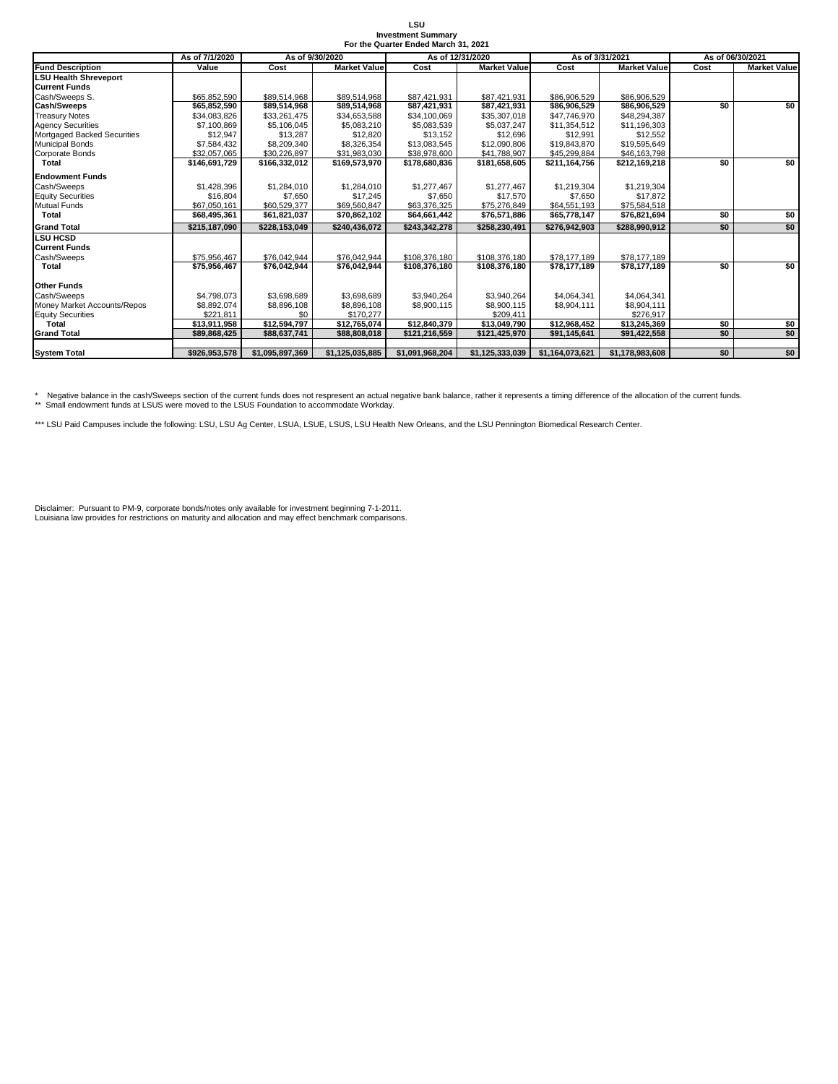| LSU                       |  |                                      |  |  |  |  |  |  |  |  |
|---------------------------|--|--------------------------------------|--|--|--|--|--|--|--|--|
| <b>Investment Summary</b> |  |                                      |  |  |  |  |  |  |  |  |
|                           |  | For the Quarter Ended March 31, 2021 |  |  |  |  |  |  |  |  |

|                              | As of 7/1/2020<br>As of 9/30/2020 |                 |                     |                 | As of 12/31/2020    | As of 3/31/2021 |                     |      | As of 06/30/2021    |
|------------------------------|-----------------------------------|-----------------|---------------------|-----------------|---------------------|-----------------|---------------------|------|---------------------|
| <b>Fund Description</b>      | Value                             | Cost            | <b>Market Value</b> | Cost            | <b>Market Value</b> | Cost            | <b>Market Value</b> | Cost | <b>Market Value</b> |
| <b>LSU Health Shreveport</b> |                                   |                 |                     |                 |                     |                 |                     |      |                     |
| <b>Current Funds</b>         |                                   |                 |                     |                 |                     |                 |                     |      |                     |
| Cash/Sweeps S.               | \$65,852,590                      | \$89,514.968    | \$89,514,968        | \$87.421.931    | \$87.421.931        | \$86,906,529    | \$86,906,529        |      |                     |
| <b>Cash/Sweeps</b>           | \$65,852,590                      | \$89,514,968    | \$89,514,968        | \$87,421,931    | \$87,421,931        | \$86,906,529    | \$86,906,529        | \$0  | \$0                 |
| <b>Treasury Notes</b>        | \$34.083.826                      | \$33,261,475    | \$34,653,588        | \$34,100,069    | \$35,307,018        | \$47,746,970    | \$48,294,387        |      |                     |
| <b>Agency Securities</b>     | \$7,100,869                       | \$5,106,045     | \$5,083,210         | \$5,083,539     | \$5,037,247         | \$11,354,512    | \$11,196,303        |      |                     |
| Mortgaged Backed Securities  | \$12.947                          | \$13,287        | \$12,820            | \$13,152        | \$12,696            | \$12,991        | \$12,552            |      |                     |
| <b>Municipal Bonds</b>       | \$7,584,432                       | \$8,209,340     | \$8,326,354         | \$13,083,545    | \$12,090,806        | \$19,843,870    | \$19,595,649        |      |                     |
| Corporate Bonds              | \$32,057,065                      | \$30,226,897    | \$31,983,030        | \$38,978,600    | \$41,788,907        | \$45,299,884    | \$46,163,798        |      |                     |
| <b>Total</b>                 | \$146,691,729                     | \$166,332,012   | \$169,573,970       | \$178,680,836   | \$181,658,605       | \$211,164,756   | \$212,169,218       | \$0  | \$0                 |
| <b>Endowment Funds</b>       |                                   |                 |                     |                 |                     |                 |                     |      |                     |
| Cash/Sweeps                  | \$1,428,396                       | \$1,284,010     | \$1,284,010         | \$1,277,467     | \$1,277,467         | \$1,219,304     | \$1,219,304         |      |                     |
| <b>Equity Securities</b>     | \$16,804                          | \$7,650         | \$17.245            | \$7,650         | \$17,570            | \$7,650         | \$17,872            |      |                     |
| <b>Mutual Funds</b>          | \$67.050.161                      | \$60,529,377    | \$69,560,847        | \$63,376,325    | \$75,276,849        | \$64,551,193    | \$75,584,518        |      |                     |
| <b>Total</b>                 | \$68,495,361                      | \$61,821,037    | \$70.862.102        | \$64,661,442    | \$76,571,886        | \$65,778,147    | \$76,821,694        | \$0  | \$0                 |
| <b>Grand Total</b>           | \$215.187.090                     | \$228.153.049   | \$240.436.072       | \$243.342.278   | \$258.230.491       | \$276.942.903   | \$288.990.912       | \$0  | \$0                 |
| <b>LSU HCSD</b>              |                                   |                 |                     |                 |                     |                 |                     |      |                     |
| <b>Current Funds</b>         |                                   |                 |                     |                 |                     |                 |                     |      |                     |
| Cash/Sweeps                  | \$75.956.467                      | \$76.042.944    | \$76,042,944        | \$108,376,180   | \$108,376,180       | \$78,177,189    | \$78,177,189        |      |                     |
| <b>Total</b>                 | \$75,956,467                      | \$76,042,944    | \$76,042,944        | \$108.376.180   | \$108,376,180       | \$78,177,189    | \$78,177,189        | \$0  | \$0                 |
| <b>Other Funds</b>           |                                   |                 |                     |                 |                     |                 |                     |      |                     |
| Cash/Sweeps                  | \$4.798.073                       | \$3,698,689     | \$3.698.689         | \$3.940.264     | \$3.940.264         | \$4.064.341     | \$4.064.341         |      |                     |
| Money Market Accounts/Repos  | \$8.892.074                       | \$8,896,108     | \$8,896,108         | \$8,900,115     | \$8,900.115         | \$8,904,111     | \$8,904,111         |      |                     |
| <b>Equity Securities</b>     | \$221,811                         | \$0             | \$170.277           |                 | \$209.411           |                 | \$276.917           |      |                     |
| <b>Total</b>                 | \$13.911.958                      | \$12,594,797    | \$12,765,074        | \$12,840,379    | \$13.049.790        | \$12,968,452    | \$13,245,369        | \$0  | \$0                 |
| <b>Grand Total</b>           | \$89,868,425                      | \$88,637,741    | \$88,808,018        | \$121,216,559   | \$121,425,970       | \$91,145,641    | \$91,422,558        | \$0  | \$0                 |
|                              |                                   |                 |                     |                 |                     |                 |                     |      |                     |
| <b>System Total</b>          | \$926,953,578                     | \$1,095,897,369 | \$1,125,035,885     | \$1,091,968,204 | \$1,125,333,039     | \$1,164,073,621 | \$1,178,983,608     | \$0  | \$0                 |

\* Negative balance in the cash/Sweeps section of the current funds does not respresent an actual negative bank balance, rather it represents a timing difference of the allocation of the current funds.<br>\*\* Small endowment fu

\*\*\* LSU Paid Campuses include the following: LSU, LSU Ag Center, LSUA, LSUE, LSUS, LSU Health New Orleans, and the LSU Pennington Biomedical Research Center.

Disclaimer: Pursuant to PM-9, corporate bonds/notes only available for investment beginning 7-1-2011. Louisiana law provides for restrictions on maturity and allocation and may effect benchmark comparisons.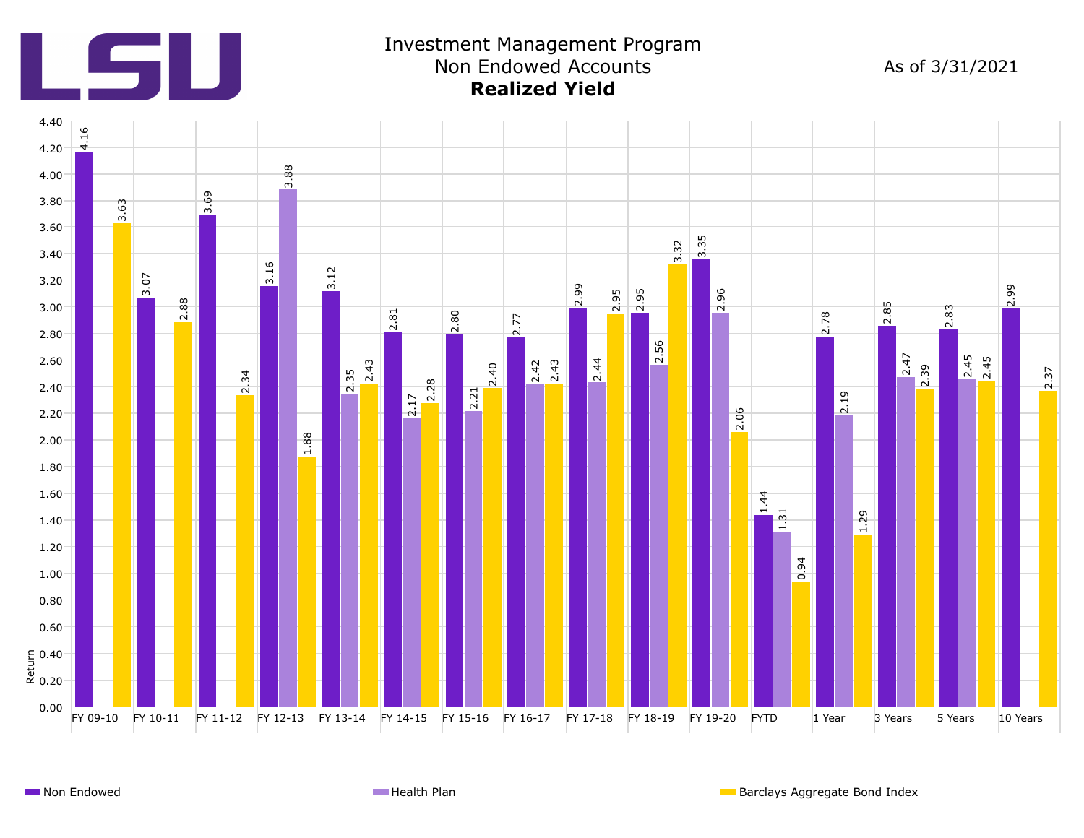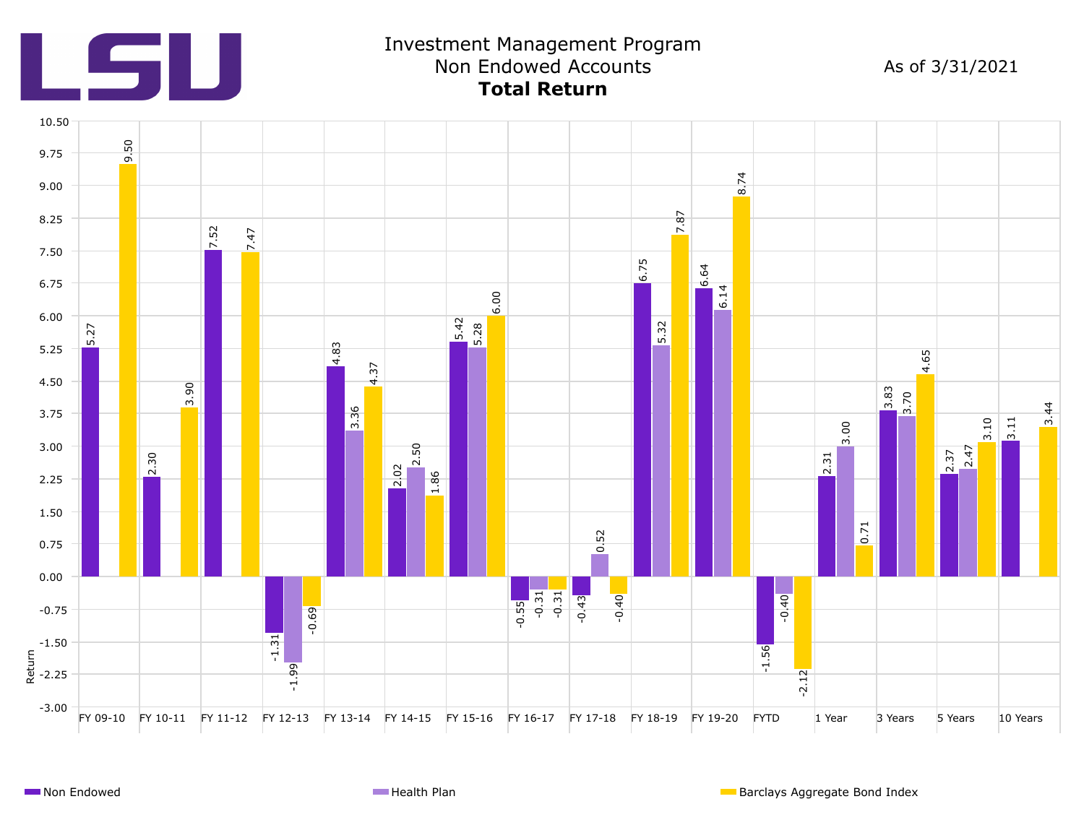![](_page_4_Picture_0.jpeg)

## Investment Management Program Non Endowed Accounts **Total Return**

As of 3/31/2021

![](_page_4_Figure_3.jpeg)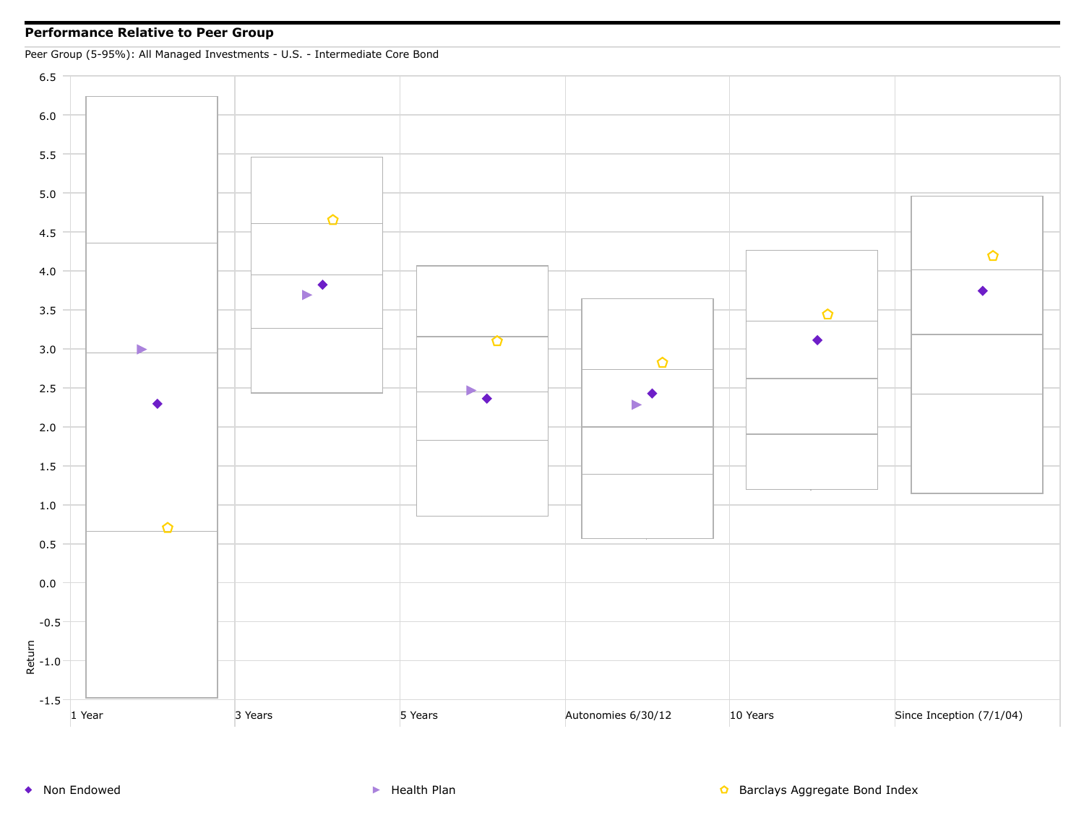## **Performance Relative to Peer Group**

Peer Group (5-95%): All Managed Investments - U.S. - Intermediate Core Bond

![](_page_5_Figure_2.jpeg)

◆ Non Endowed <br>● Non Endowed Supervisor And Health Plan Barclays Aggregate Bond Index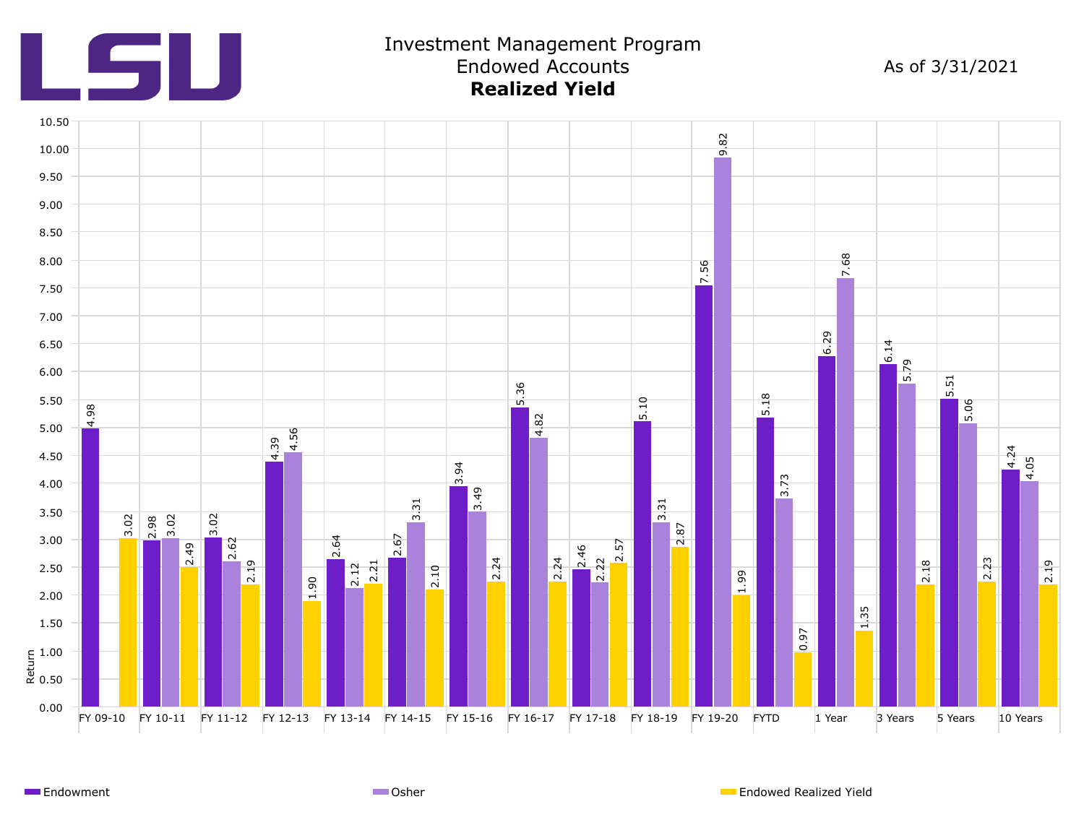![](_page_6_Picture_0.jpeg)

## Investment Management Program Endowed Accounts **Realized Yield**

As of 3/31/2021

![](_page_6_Figure_3.jpeg)